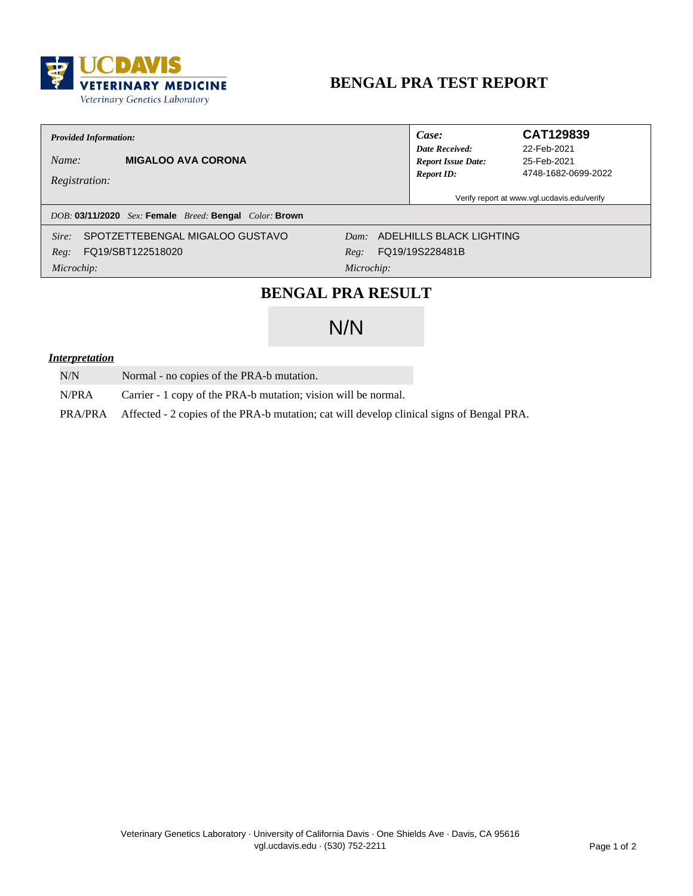

# **BENGAL PRA TEST REPORT**

### **Provided Information:**

**MIGALOO AVA CORONA** Name:

Registration:

Case: **Date Received: Report Issue Date: Report ID:** 

### CAT129839

22-Feb-2021 25-Feb-2021 4748-1682-0699-2022

Verify report at www.vgl.ucdavis.edu/verify

### DOB: 03/11/2020 Sex: Female Breed: Bengal Color: Brown

SPOTZETTEBENGAL MIGALOO GUSTAVO Sire:

FQ19/SBT122518020  $Reg:$ 

Dam: ADELHILLS BLACK LIGHTING FQ19/19S228481B Reg:

Microchip:

Microchip:

### **BENGAL PRA RESULT**

# $N/N$

### *<u>Interpretation</u>*

- $N/N$ Normal - no copies of the PRA-b mutation.
- N/PRA Carrier - 1 copy of the PRA-b mutation; vision will be normal.

PRA/PRA Affected - 2 copies of the PRA-b mutation; cat will develop clinical signs of Bengal PRA.